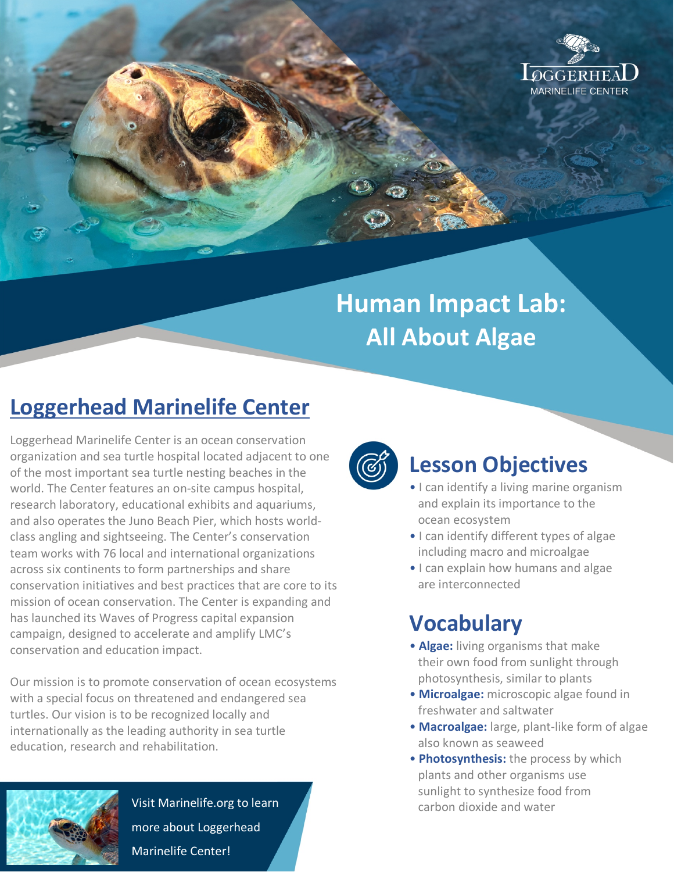

# **Human Impact Lab: All About Algae**

## **Loggerhead Marinelife Center**

Loggerhead Marinelife Center is an ocean conservation organization and sea turtle hospital located adjacent to one of the most important sea turtle nesting beaches in the world. The Center features an on-site campus hospital, research laboratory, educational exhibits and aquariums, and also operates the Juno Beach Pier, which hosts worldclass angling and sightseeing. The Center's conservation team works with 76 local and international organizations across six continents to form partnerships and share conservation initiatives and best practices that are core to its mission of ocean conservation. The Center is expanding and has launched its Waves of Progress capital expansion campaign, designed to accelerate and amplify LMC's conservation and education impact.

Our mission is to promote conservation of ocean ecosystems with a special focus on threatened and endangered sea turtles. Our vision is to be recognized locally and internationally as the leading authority in sea turtle education, research and rehabilitation.



#### **Lesson Objectives**

- I can identify a living marine organism and explain its importance to the ocean ecosystem
- I can identify different types of algae including macro and microalgae
- I can explain how humans and algae are interconnected

## **Vocabulary**

- **Algae:** living organisms that make their own food from sunlight through photosynthesis, similar to plants
- **Microalgae:** microscopic algae found in freshwater and saltwater
- **Macroalgae:** large, plant-like form of algae also known as seaweed
- **Photosynthesis:** the process by which plants and other organisms use sunlight to synthesize food from carbon dioxide and water



Visit Marinelife.org to learn more about Loggerhead Marinelife Center!